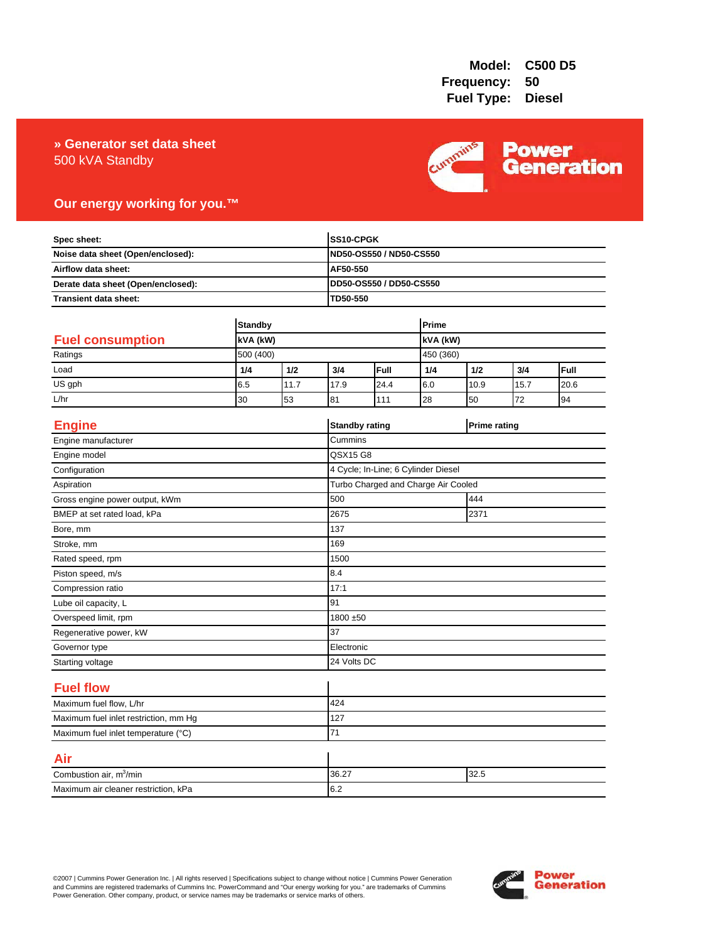# 500 kVA Standby **» Generator set data sheet**



# **Our energy working for you.™**

| Spec sheet:<br>Noise data sheet (Open/enclosed):<br>Airflow data sheet:<br>Derate data sheet (Open/enclosed): |                       |      |          | SS10-CPGK<br>ND50-OS550 / ND50-CS550 |          |           |                     |            |
|---------------------------------------------------------------------------------------------------------------|-----------------------|------|----------|--------------------------------------|----------|-----------|---------------------|------------|
|                                                                                                               |                       |      |          |                                      |          |           |                     |            |
|                                                                                                               |                       |      | AF50-550 |                                      |          |           |                     |            |
|                                                                                                               |                       |      |          | DD50-OS550 / DD50-CS550              |          |           |                     |            |
| Transient data sheet:                                                                                         |                       |      |          | TD50-550                             |          |           |                     |            |
|                                                                                                               |                       |      |          |                                      | Prime    |           |                     |            |
| <b>Standby</b>                                                                                                |                       |      |          |                                      |          |           |                     |            |
| <b>Fuel consumption</b><br>Ratings                                                                            | kVA (kW)<br>500 (400) |      |          |                                      | kVA (kW) |           |                     |            |
|                                                                                                               |                       | 1/2  | 3/4      | Full                                 |          | 450 (360) |                     |            |
| Load<br>US gph                                                                                                | 1/4                   | 11.7 |          | 24.4                                 | 1/4      | 1/2       | 3/4<br>15.7         | Full       |
| L/hr                                                                                                          | 6.5                   |      | 17.9     |                                      | 6.0      | 10.9      | 72                  | 20.6<br>94 |
|                                                                                                               | 30                    | 53   | 81       | 111                                  | 28       | 50        |                     |            |
| <b>Engine</b>                                                                                                 |                       |      |          | <b>Standby rating</b>                |          |           | <b>Prime rating</b> |            |
| Engine manufacturer                                                                                           |                       |      | Cummins  |                                      |          |           |                     |            |
| Engine model                                                                                                  |                       |      | QSX15 G8 |                                      |          |           |                     |            |
| Configuration                                                                                                 |                       |      |          | 4 Cycle; In-Line; 6 Cylinder Diesel  |          |           |                     |            |
| Aspiration                                                                                                    |                       |      |          | Turbo Charged and Charge Air Cooled  |          |           |                     |            |
| Gross engine power output, kWm                                                                                |                       |      | 500      | 444                                  |          |           |                     |            |
| BMEP at set rated load, kPa                                                                                   |                       |      | 2675     | 2371                                 |          |           |                     |            |
| Bore, mm                                                                                                      |                       |      | 137      |                                      |          |           |                     |            |
| Stroke, mm                                                                                                    |                       |      | 169      |                                      |          |           |                     |            |
| Rated speed, rpm                                                                                              |                       |      | 1500     |                                      |          |           |                     |            |
| Piston speed, m/s                                                                                             |                       |      | 8.4      |                                      |          |           |                     |            |
| Compression ratio                                                                                             |                       |      | 17:1     |                                      |          |           |                     |            |
| Lube oil capacity, L                                                                                          |                       |      | 91       |                                      |          |           |                     |            |
| Overspeed limit, rpm                                                                                          |                       |      |          | 1800 ±50                             |          |           |                     |            |
| Regenerative power, kW                                                                                        |                       |      | 37       |                                      |          |           |                     |            |
| Governor type                                                                                                 |                       |      |          | Electronic                           |          |           |                     |            |
| Starting voltage                                                                                              |                       |      |          | 24 Volts DC                          |          |           |                     |            |
| <b>Fuel flow</b>                                                                                              |                       |      |          |                                      |          |           |                     |            |
| Maximum fuel flow, L/hr                                                                                       |                       |      | 424      |                                      |          |           |                     |            |
| Maximum fuel inlet restriction, mm Hg                                                                         |                       |      | 127      |                                      |          |           |                     |            |
| Maximum fuel inlet temperature (°C)                                                                           |                       |      | 71       |                                      |          |           |                     |            |
| Air                                                                                                           |                       |      |          |                                      |          |           |                     |            |
| Combustion air, m <sup>3</sup> /min                                                                           |                       |      | 36.27    | 32.5                                 |          |           |                     |            |
| Maximum air cleaner restriction, kPa                                                                          |                       |      | 6.2      |                                      |          |           |                     |            |

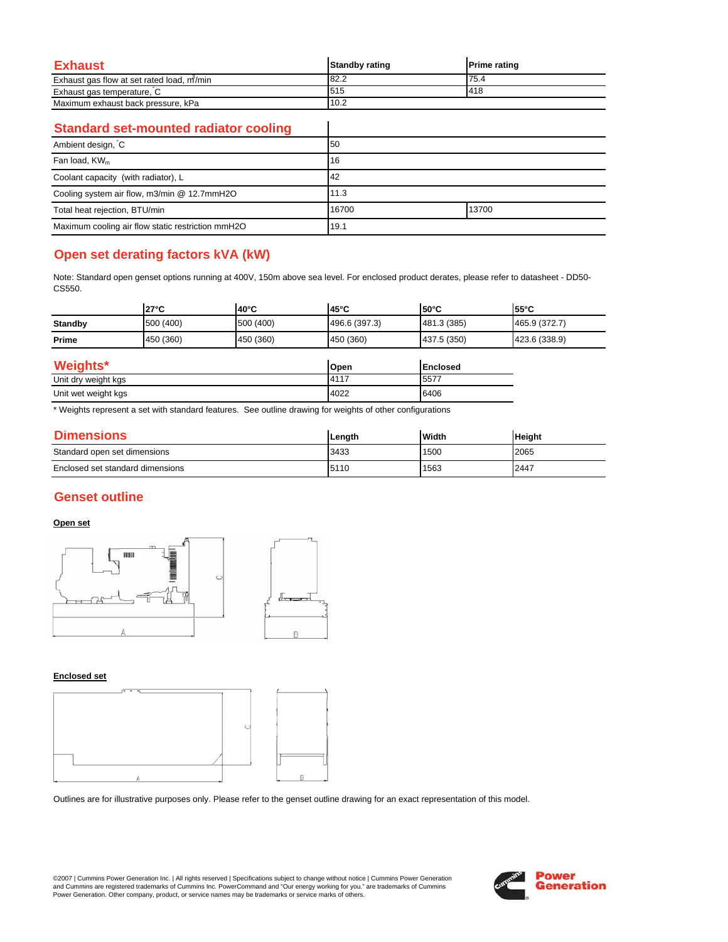| Exhaust                                   | <b>Standby rating</b> | <b>Prime rating</b> |
|-------------------------------------------|-----------------------|---------------------|
| Exhaust gas flow at set rated load, m/min | 182.2                 | 75.4                |
| Exhaust gas temperature, C                | 1515                  | <b>1418</b>         |
| Maximum exhaust back pressure, kPa        | 10.2                  |                     |

 $\overline{\phantom{a}}$ 

### **Standard set-mounted radiator cooling**

| Ambient design, C                                 | 50    |       |
|---------------------------------------------------|-------|-------|
| Fan load, KW <sub>m</sub>                         | 16    |       |
| Coolant capacity (with radiator), L               | 42    |       |
| Cooling system air flow, m3/min @ 12.7mmH2O       | 11.3  |       |
| Total heat rejection, BTU/min                     | 16700 | 13700 |
| Maximum cooling air flow static restriction mmH2O | 19.1  |       |

# **Open set derating factors kVA (kW)**

Note: Standard open genset options running at 400V, 150m above sea level. For enclosed product derates, please refer to datasheet - DD50- CS550.

|                   | $27^{\circ}$ C | $140^{\circ}$ C | $45^{\circ}$ C | l50°C          | $55^{\circ}$ C |
|-------------------|----------------|-----------------|----------------|----------------|----------------|
| <b>Standby</b>    | 500 (400)      | 500 (400)       | 496.6 (397.3)  | 481.3 (385)    | 465.9 (372.7)  |
| Prime             | 450 (360)      | 450 (360)       | 450 (360)      | 437.5 (350)    | 423.6 (338.9)  |
| $M$ $a$ inhte $*$ |                |                 | $n_{max}$      | <b>England</b> |                |

| Weights*            | Open         | <b>Enclosed</b> |
|---------------------|--------------|-----------------|
| Unit dry weight kgs | <b>14117</b> | $-5577$         |
| Unit wet weight kgs | 4022         | 6406            |

\* Weights represent a set with standard features. See outline drawing for weights of other configurations

| <b>Dimensions</b>                | Lenath | <b>Width</b> | <b>Height</b> |
|----------------------------------|--------|--------------|---------------|
| Standard open set dimensions     | 3433   | 1500         | 2065          |
| Enclosed set standard dimensions | 5110   | 1563         | 2447          |

## **Genset outline**

### **Open set**



#### **Enclosed set**



Outlines are for illustrative purposes only. Please refer to the genset outline drawing for an exact representation of this model.

©2007 | Cummins Power Generation Inc. | All rights reserved | Specifications subject to change without notice | Cummins Power Generation and Cummins are registered trademarks of Cummins Inc. PowerCommand and "Our energy working for you." are trademarks of Cummins<br>Power Generation. Other company, product, or service names may be trademarks or service marks o